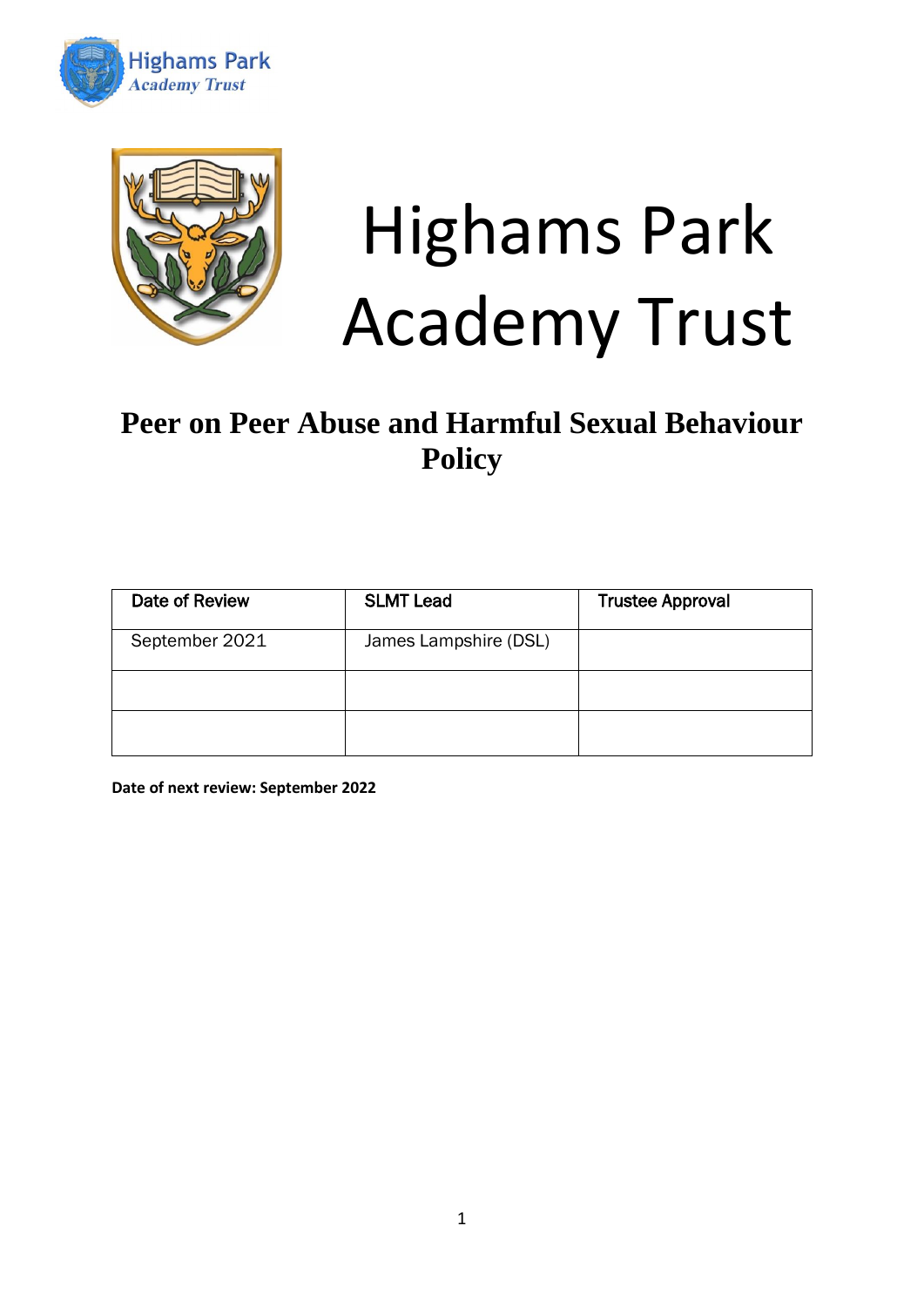



# Highams Park Academy Trust

# **Peer on Peer Abuse and Harmful Sexual Behaviour Policy**

| Date of Review | <b>SLMT Lead</b>      | <b>Trustee Approval</b> |
|----------------|-----------------------|-------------------------|
| September 2021 | James Lampshire (DSL) |                         |
|                |                       |                         |
|                |                       |                         |

**Date of next review: September 2022**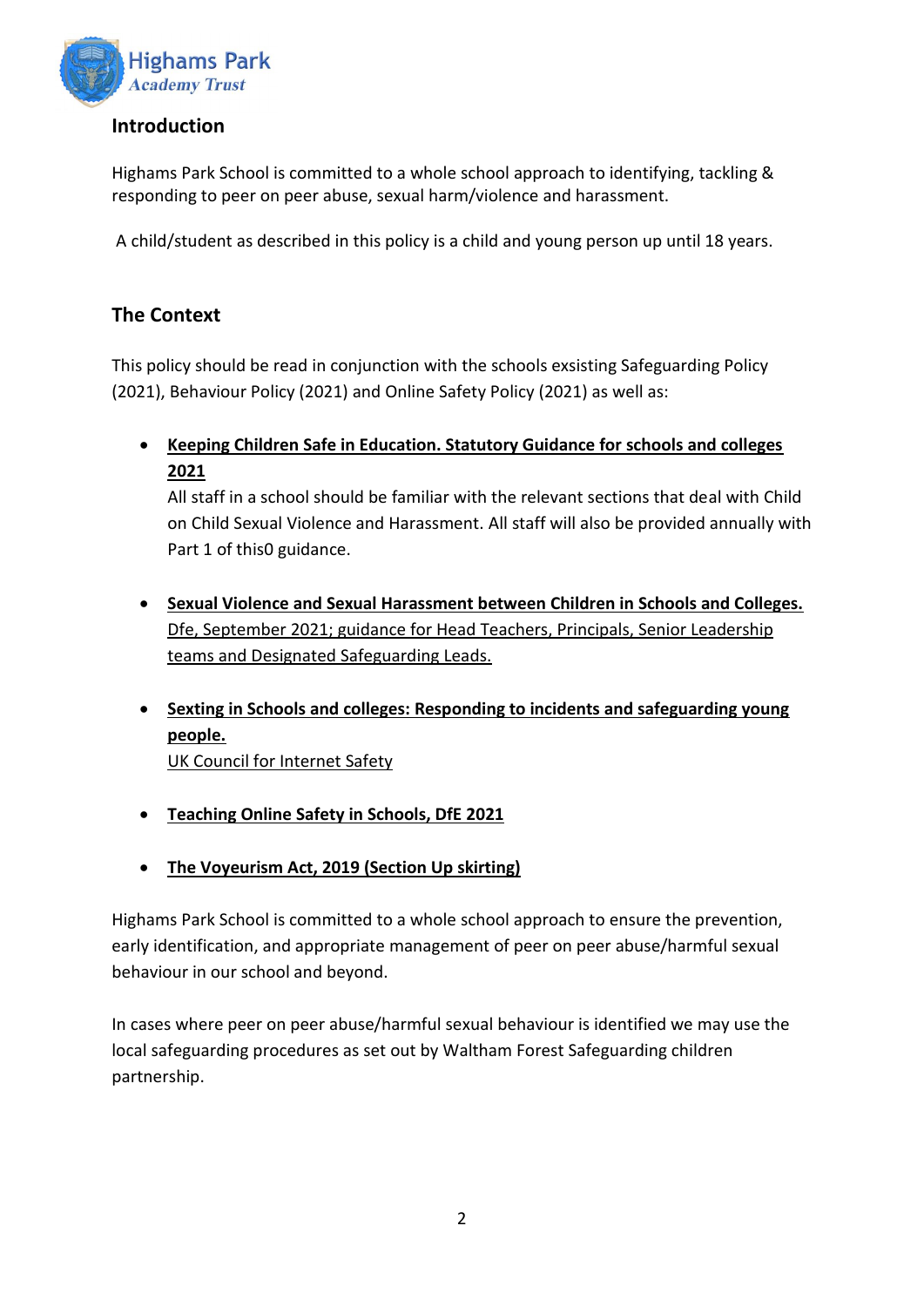

### **Introduction**

Highams Park School is committed to a whole school approach to identifying, tackling & responding to peer on peer abuse, sexual harm/violence and harassment.

A child/student as described in this policy is a child and young person up until 18 years.

# **The Context**

This policy should be read in conjunction with the schools exsisting Safeguarding Policy (2021), Behaviour Policy (2021) and Online Safety Policy (2021) as well as:

• **[Keeping Children Safe in Education. Statutory Guidance for schools and colleges](https://www.gov.uk/government/publications/keeping-children-safe-in-education--2) 2021**

All staff in a school should be familiar with the relevant sections that deal with Child on Child Sexual Violence and Harassment. All staff will also be provided annually with Part 1 of this0 guidance.

- **[Sexual Violence and Sexual Harassment between Children in Schools and Colleges.](https://www.gov.uk/government/publications/sexual-violence-and-sexual-harassment-between-children-in-schools-and-colleges)** Dfe, September 2021; guidance for Head Teachers, Principals, Senior Leadership teams and Designated Safeguarding Leads.
- **[Sexting in Schools and colleges: Responding to incidents and safeguarding young](https://www.gov.uk/government/groups/uk-council-for-child-internet-safety-ukccis)  [people.](https://www.gov.uk/government/groups/uk-council-for-child-internet-safety-ukccis)**
	- UK Council for Internet Safety
- **[Teaching Online Safety in Schools, DfE](https://www.gov.uk/government/publications/teaching-online-safety-in-schools) 2021**
- **[The Voyeurism Act, 2019 \(Section Up skirting\)](https://www.gov.uk/government/publications/implementation-of-the-voyeurism-offences-act-2019)**

Highams Park School is committed to a whole school approach to ensure the prevention, early identification, and appropriate management of peer on peer abuse/harmful sexual behaviour in our school and beyond.

In cases where peer on peer abuse/harmful sexual behaviour is identified we may use the local safeguarding procedures as set out by Waltham Forest Safeguarding children partnership.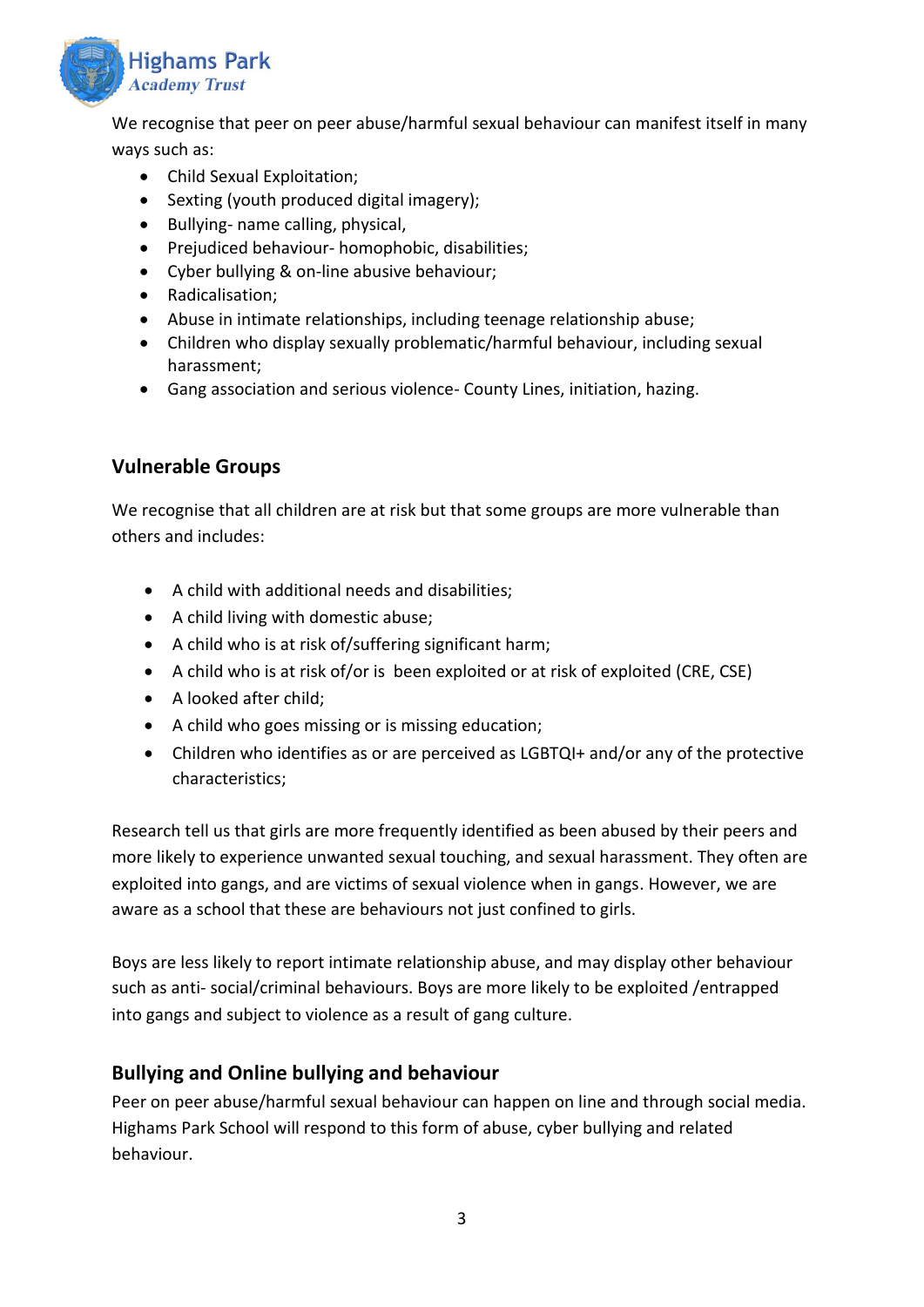

We recognise that peer on peer abuse/harmful sexual behaviour can manifest itself in many ways such as:

- Child Sexual Exploitation;
- Sexting (youth produced digital imagery);
- Bullying- name calling, physical,
- Prejudiced behaviour- homophobic, disabilities;
- Cyber bullying & on-line abusive behaviour;
- Radicalisation;
- Abuse in intimate relationships, including teenage relationship abuse;
- Children who display sexually problematic/harmful behaviour, including sexual harassment;
- Gang association and serious violence- County Lines, initiation, hazing.

#### **Vulnerable Groups**

We recognise that all children are at risk but that some groups are more vulnerable than others and includes:

- A child with additional needs and disabilities;
- A child living with domestic abuse;
- A child who is at risk of/suffering significant harm;
- A child who is at risk of/or is been exploited or at risk of exploited (CRE, CSE)
- A looked after child;
- A child who goes missing or is missing education;
- Children who identifies as or are perceived as LGBTQI+ and/or any of the protective characteristics;

Research tell us that girls are more frequently identified as been abused by their peers and more likely to experience unwanted sexual touching, and sexual harassment. They often are exploited into gangs, and are victims of sexual violence when in gangs. However, we are aware as a school that these are behaviours not just confined to girls.

Boys are less likely to report intimate relationship abuse, and may display other behaviour such as anti- social/criminal behaviours. Boys are more likely to be exploited /entrapped into gangs and subject to violence as a result of gang culture.

#### **Bullying and Online bullying and behaviour**

Peer on peer abuse/harmful sexual behaviour can happen on line and through social media. Highams Park School will respond to this form of abuse, cyber bullying and related behaviour.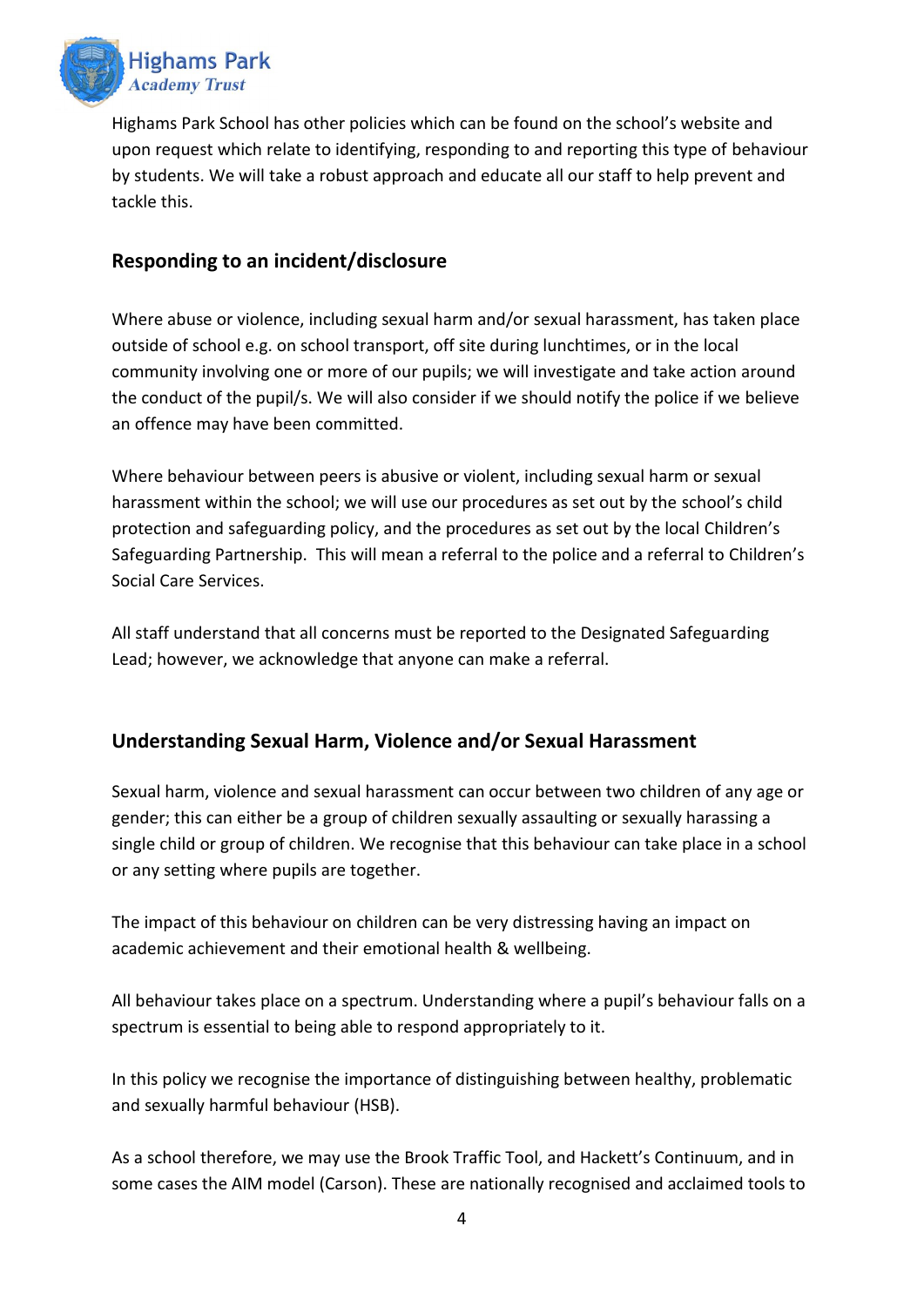

Highams Park School has other policies which can be found on the school's website and upon request which relate to identifying, responding to and reporting this type of behaviour by students. We will take a robust approach and educate all our staff to help prevent and tackle this.

#### **Responding to an incident/disclosure**

Where abuse or violence, including sexual harm and/or sexual harassment, has taken place outside of school e.g. on school transport, off site during lunchtimes, or in the local community involving one or more of our pupils; we will investigate and take action around the conduct of the pupil/s. We will also consider if we should notify the police if we believe an offence may have been committed.

Where behaviour between peers is abusive or violent, including sexual harm or sexual harassment within the school; we will use our procedures as set out by the school's child protection and safeguarding policy, and the procedures as set out by the local Children's Safeguarding Partnership. This will mean a referral to the police and a referral to Children's Social Care Services.

All staff understand that all concerns must be reported to the Designated Safeguarding Lead; however, we acknowledge that anyone can make a referral.

### **Understanding Sexual Harm, Violence and/or Sexual Harassment**

Sexual harm, violence and sexual harassment can occur between two children of any age or gender; this can either be a group of children sexually assaulting or sexually harassing a single child or group of children. We recognise that this behaviour can take place in a school or any setting where pupils are together.

The impact of this behaviour on children can be very distressing having an impact on academic achievement and their emotional health & wellbeing.

All behaviour takes place on a spectrum. Understanding where a pupil's behaviour falls on a spectrum is essential to being able to respond appropriately to it.

In this policy we recognise the importance of distinguishing between healthy, problematic and sexually harmful behaviour (HSB).

As a school therefore, we may use the Brook Traffic Tool, and Hackett's Continuum, and in some cases the AIM model (Carson). These are nationally recognised and acclaimed tools to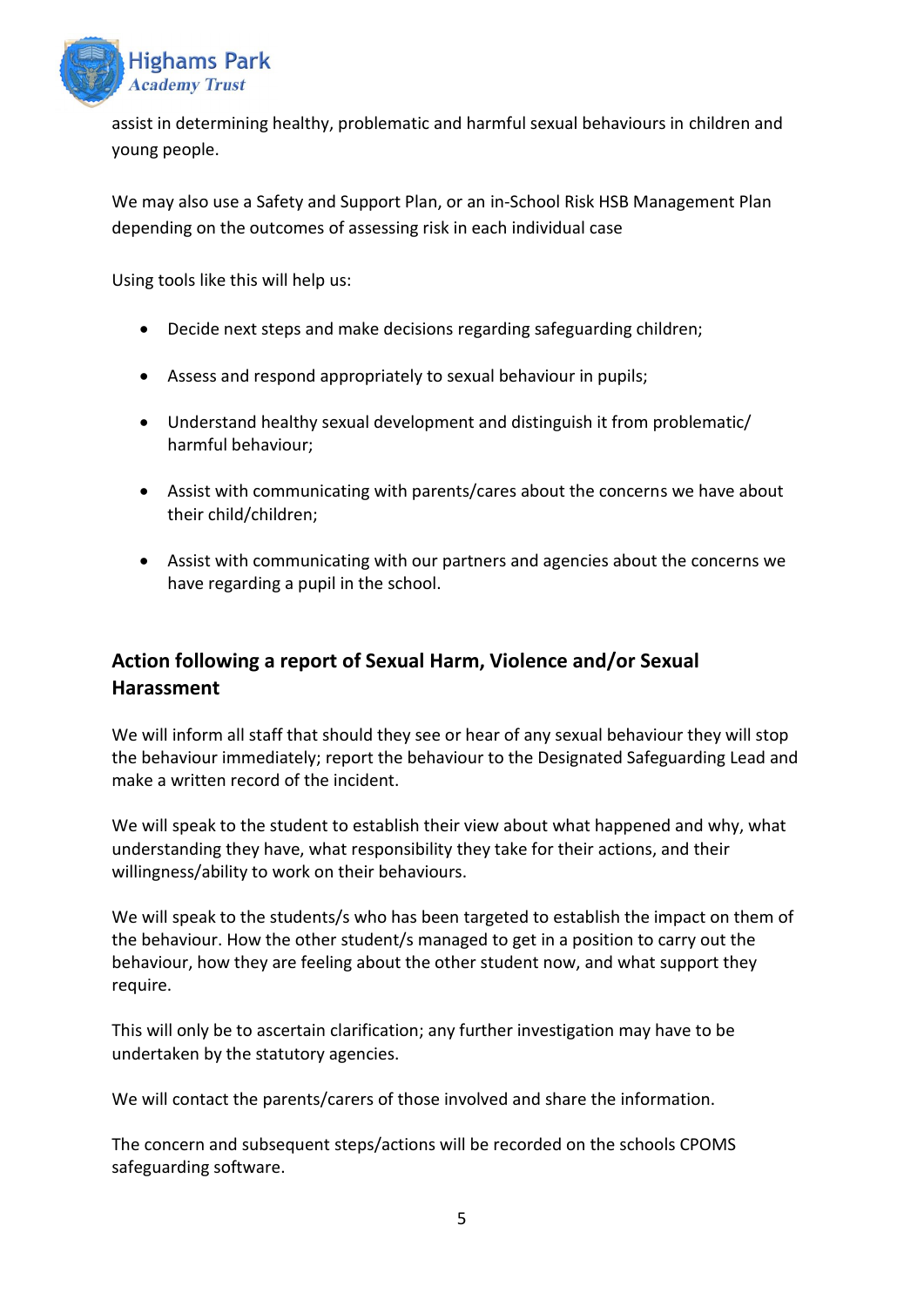

assist in determining healthy, problematic and harmful sexual behaviours in children and young people.

We may also use a Safety and Support Plan, or an in-School Risk HSB Management Plan depending on the outcomes of assessing risk in each individual case

Using tools like this will help us:

- Decide next steps and make decisions regarding safeguarding children;
- Assess and respond appropriately to sexual behaviour in pupils;
- Understand healthy sexual development and distinguish it from problematic/ harmful behaviour;
- Assist with communicating with parents/cares about the concerns we have about their child/children;
- Assist with communicating with our partners and agencies about the concerns we have regarding a pupil in the school.

# **Action following a report of Sexual Harm, Violence and/or Sexual Harassment**

We will inform all staff that should they see or hear of any sexual behaviour they will stop the behaviour immediately; report the behaviour to the Designated Safeguarding Lead and make a written record of the incident.

We will speak to the student to establish their view about what happened and why, what understanding they have, what responsibility they take for their actions, and their willingness/ability to work on their behaviours.

We will speak to the students/s who has been targeted to establish the impact on them of the behaviour. How the other student/s managed to get in a position to carry out the behaviour, how they are feeling about the other student now, and what support they require.

This will only be to ascertain clarification; any further investigation may have to be undertaken by the statutory agencies.

We will contact the parents/carers of those involved and share the information.

The concern and subsequent steps/actions will be recorded on the schools CPOMS safeguarding software.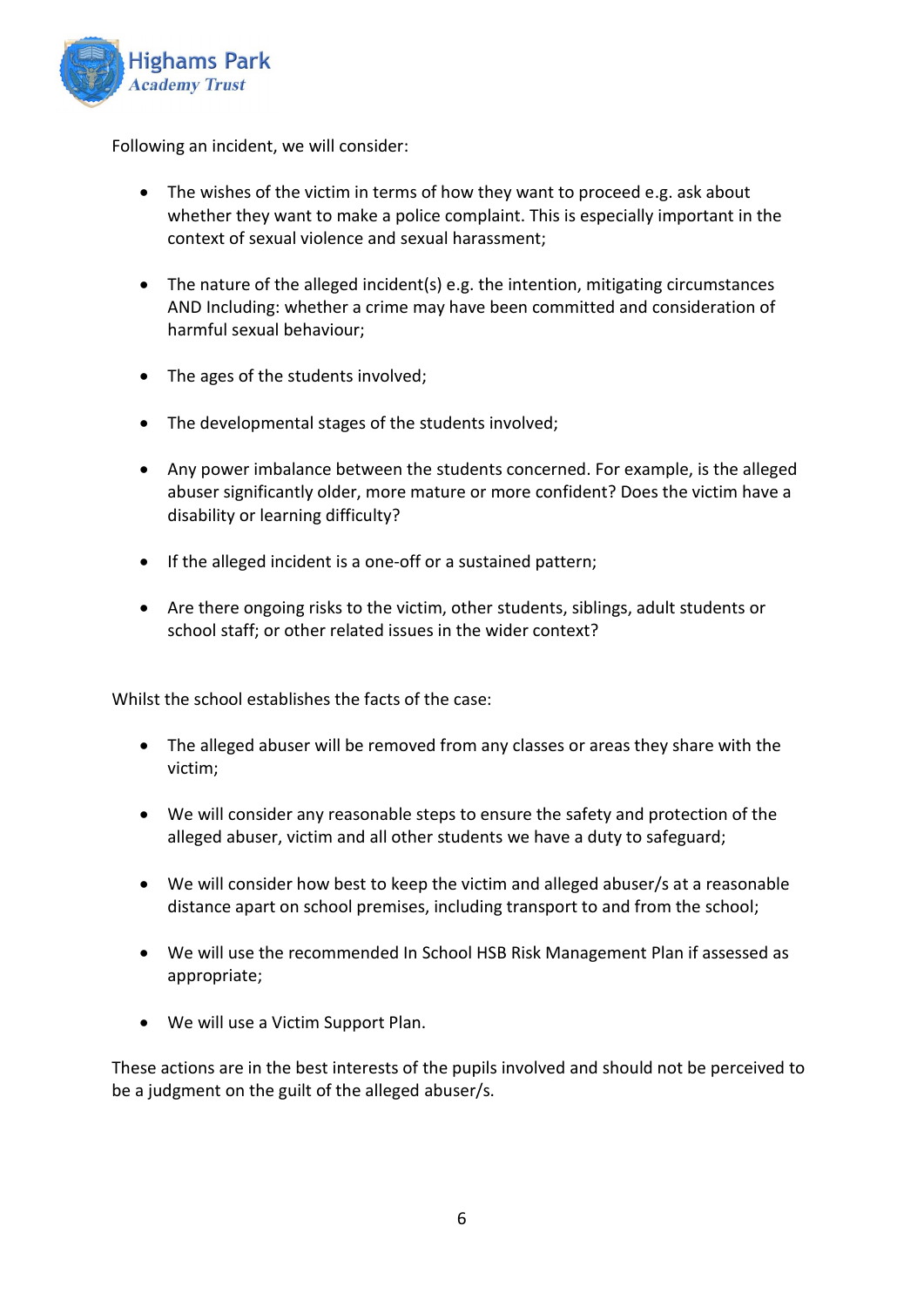

Following an incident, we will consider:

- The wishes of the victim in terms of how they want to proceed e.g. ask about whether they want to make a police complaint. This is especially important in the context of sexual violence and sexual harassment;
- The nature of the alleged incident(s) e.g. the intention, mitigating circumstances AND Including: whether a crime may have been committed and consideration of harmful sexual behaviour;
- The ages of the students involved;
- The developmental stages of the students involved;
- Any power imbalance between the students concerned. For example, is the alleged abuser significantly older, more mature or more confident? Does the victim have a disability or learning difficulty?
- If the alleged incident is a one-off or a sustained pattern;
- Are there ongoing risks to the victim, other students, siblings, adult students or school staff; or other related issues in the wider context?

Whilst the school establishes the facts of the case:

- The alleged abuser will be removed from any classes or areas they share with the victim;
- We will consider any reasonable steps to ensure the safety and protection of the alleged abuser, victim and all other students we have a duty to safeguard;
- We will consider how best to keep the victim and alleged abuser/s at a reasonable distance apart on school premises, including transport to and from the school;
- We will use the recommended In School HSB Risk Management Plan if assessed as appropriate;
- We will use a Victim Support Plan.

These actions are in the best interests of the pupils involved and should not be perceived to be a judgment on the guilt of the alleged abuser/s.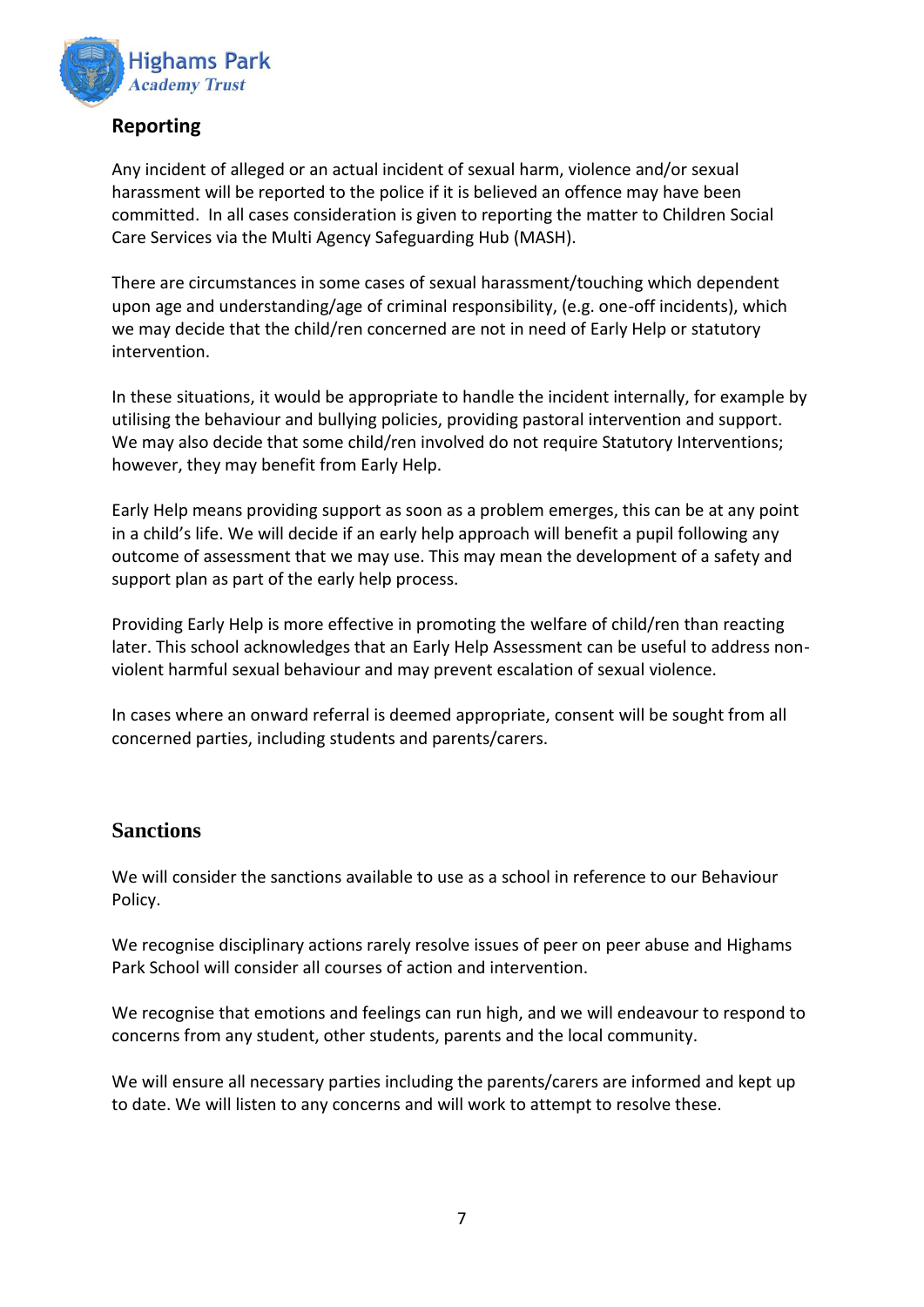

### **Reporting**

Any incident of alleged or an actual incident of sexual harm, violence and/or sexual harassment will be reported to the police if it is believed an offence may have been committed. In all cases consideration is given to reporting the matter to Children Social Care Services via the Multi Agency Safeguarding Hub (MASH).

There are circumstances in some cases of sexual harassment/touching which dependent upon age and understanding/age of criminal responsibility, (e.g. one-off incidents), which we may decide that the child/ren concerned are not in need of Early Help or statutory intervention.

In these situations, it would be appropriate to handle the incident internally, for example by utilising the behaviour and bullying policies, providing pastoral intervention and support. We may also decide that some child/ren involved do not require Statutory Interventions; however, they may benefit from Early Help.

Early Help means providing support as soon as a problem emerges, this can be at any point in a child's life. We will decide if an early help approach will benefit a pupil following any outcome of assessment that we may use. This may mean the development of a safety and support plan as part of the early help process.

Providing Early Help is more effective in promoting the welfare of child/ren than reacting later. This school acknowledges that an Early Help Assessment can be useful to address nonviolent harmful sexual behaviour and may prevent escalation of sexual violence.

In cases where an onward referral is deemed appropriate, consent will be sought from all concerned parties, including students and parents/carers.

#### **Sanctions**

We will consider the sanctions available to use as a school in reference to our Behaviour Policy.

We recognise disciplinary actions rarely resolve issues of peer on peer abuse and Highams Park School will consider all courses of action and intervention.

We recognise that emotions and feelings can run high, and we will endeavour to respond to concerns from any student, other students, parents and the local community.

We will ensure all necessary parties including the parents/carers are informed and kept up to date. We will listen to any concerns and will work to attempt to resolve these.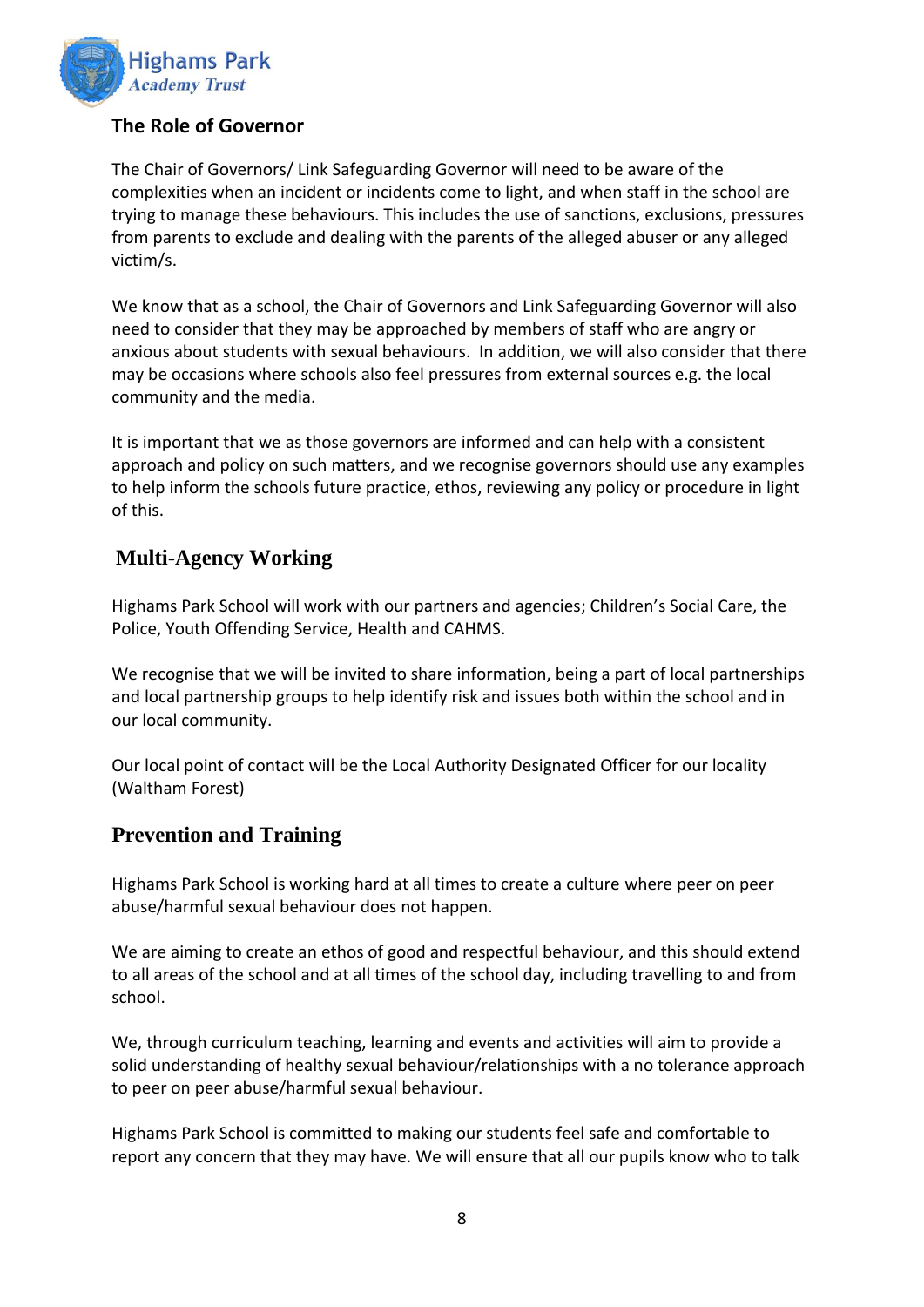

# **The Role of Governor**

The Chair of Governors/ Link Safeguarding Governor will need to be aware of the complexities when an incident or incidents come to light, and when staff in the school are trying to manage these behaviours. This includes the use of sanctions, exclusions, pressures from parents to exclude and dealing with the parents of the alleged abuser or any alleged victim/s.

We know that as a school, the Chair of Governors and Link Safeguarding Governor will also need to consider that they may be approached by members of staff who are angry or anxious about students with sexual behaviours. In addition, we will also consider that there may be occasions where schools also feel pressures from external sources e.g. the local community and the media.

It is important that we as those governors are informed and can help with a consistent approach and policy on such matters, and we recognise governors should use any examples to help inform the schools future practice, ethos, reviewing any policy or procedure in light of this.

# **Multi-Agency Working**

Highams Park School will work with our partners and agencies; Children's Social Care, the Police, Youth Offending Service, Health and CAHMS.

We recognise that we will be invited to share information, being a part of local partnerships and local partnership groups to help identify risk and issues both within the school and in our local community.

Our local point of contact will be the Local Authority Designated Officer for our locality (Waltham Forest)

### **Prevention and Training**

Highams Park School is working hard at all times to create a culture where peer on peer abuse/harmful sexual behaviour does not happen.

We are aiming to create an ethos of good and respectful behaviour, and this should extend to all areas of the school and at all times of the school day, including travelling to and from school.

We, through curriculum teaching, learning and events and activities will aim to provide a solid understanding of healthy sexual behaviour/relationships with a no tolerance approach to peer on peer abuse/harmful sexual behaviour.

Highams Park School is committed to making our students feel safe and comfortable to report any concern that they may have. We will ensure that all our pupils know who to talk